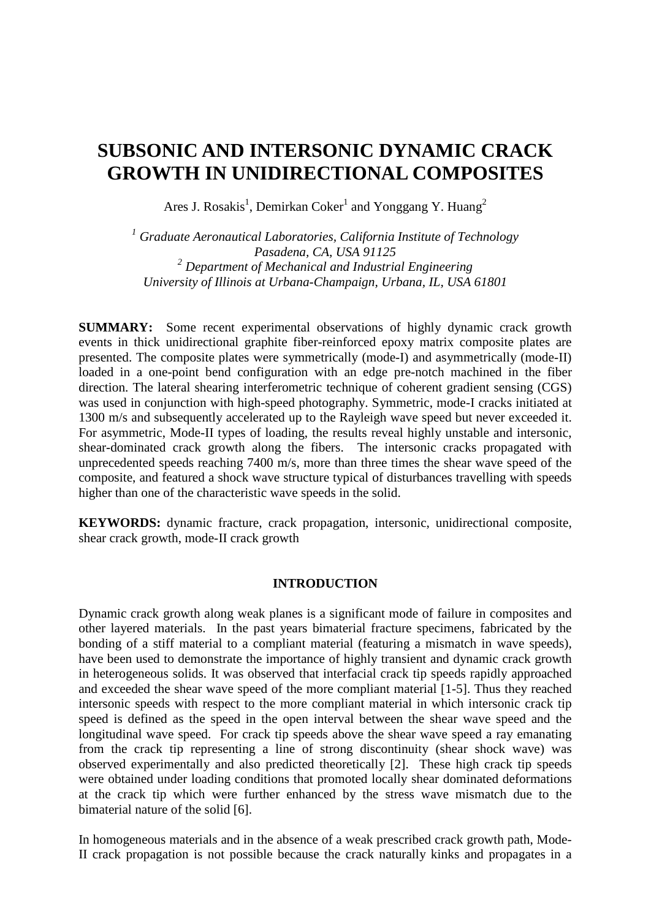# **SUBSONIC AND INTERSONIC DYNAMIC CRACK GROWTH IN UNIDIRECTIONAL COMPOSITES**

Ares J. Rosakis<sup>1</sup>, Demirkan Coker<sup>1</sup> and Yonggang Y. Huang<sup>2</sup>

*<sup>1</sup> Graduate Aeronautical Laboratories, California Institute of Technology Pasadena, CA, USA 91125 <sup>2</sup> Department of Mechanical and Industrial Engineering University of Illinois at Urbana-Champaign, Urbana, IL, USA 61801*

**SUMMARY:**Some recent experimental observations of highly dynamic crack growth events in thick unidirectional graphite fiber-reinforced epoxy matrix composite plates are presented. The composite plates were symmetrically (mode-I) and asymmetrically (mode-II) loaded in a one-point bend configuration with an edge pre-notch machined in the fiber direction. The lateral shearing interferometric technique of coherent gradient sensing (CGS) was used in conjunction with high-speed photography. Symmetric, mode-I cracks initiated at 1300 m/s and subsequently accelerated up to the Rayleigh wave speed but never exceeded it. For asymmetric, Mode-II types of loading, the results reveal highly unstable and intersonic, shear-dominated crack growth along the fibers. The intersonic cracks propagated with unprecedented speeds reaching 7400 m/s, more than three times the shear wave speed of the composite, and featured a shock wave structure typical of disturbances travelling with speeds higher than one of the characteristic wave speeds in the solid.

**KEYWORDS:** dynamic fracture, crack propagation, intersonic, unidirectional composite, shear crack growth, mode-II crack growth

## **INTRODUCTION**

Dynamic crack growth along weak planes is a significant mode of failure in composites and other layered materials. In the past years bimaterial fracture specimens, fabricated by the bonding of a stiff material to a compliant material (featuring a mismatch in wave speeds), have been used to demonstrate the importance of highly transient and dynamic crack growth in heterogeneous solids. It was observed that interfacial crack tip speeds rapidly approached and exceeded the shear wave speed of the more compliant material [1-5]. Thus they reached intersonic speeds with respect to the more compliant material in which intersonic crack tip speed is defined as the speed in the open interval between the shear wave speed and the longitudinal wave speed. For crack tip speeds above the shear wave speed a ray emanating from the crack tip representing a line of strong discontinuity (shear shock wave) was observed experimentally and also predicted theoretically [2]. These high crack tip speeds were obtained under loading conditions that promoted locally shear dominated deformations at the crack tip which were further enhanced by the stress wave mismatch due to the bimaterial nature of the solid [6].

In homogeneous materials and in the absence of a weak prescribed crack growth path, Mode-II crack propagation is not possible because the crack naturally kinks and propagates in a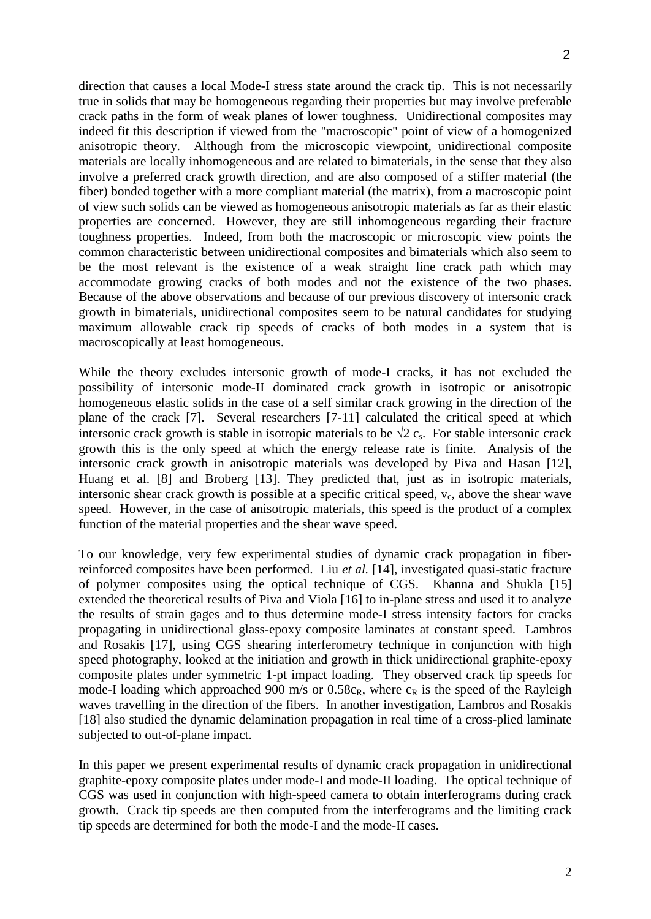direction that causes a local Mode-I stress state around the crack tip. This is not necessarily true in solids that may be homogeneous regarding their properties but may involve preferable crack paths in the form of weak planes of lower toughness. Unidirectional composites may indeed fit this description if viewed from the "macroscopic" point of view of a homogenized anisotropic theory. Although from the microscopic viewpoint, unidirectional composite materials are locally inhomogeneous and are related to bimaterials, in the sense that they also involve a preferred crack growth direction, and are also composed of a stiffer material (the fiber) bonded together with a more compliant material (the matrix), from a macroscopic point of view such solids can be viewed as homogeneous anisotropic materials as far as their elastic properties are concerned. However, they are still inhomogeneous regarding their fracture toughness properties. Indeed, from both the macroscopic or microscopic view points the common characteristic between unidirectional composites and bimaterials which also seem to be the most relevant is the existence of a weak straight line crack path which may accommodate growing cracks of both modes and not the existence of the two phases. Because of the above observations and because of our previous discovery of intersonic crack growth in bimaterials, unidirectional composites seem to be natural candidates for studying maximum allowable crack tip speeds of cracks of both modes in a system that is macroscopically at least homogeneous.

While the theory excludes intersonic growth of mode-I cracks, it has not excluded the possibility of intersonic mode-II dominated crack growth in isotropic or anisotropic homogeneous elastic solids in the case of a self similar crack growing in the direction of the plane of the crack [7]. Several researchers [7-11] calculated the critical speed at which intersonic crack growth is stable in isotropic materials to be  $\sqrt{2}$  c<sub>s</sub>. For stable intersonic crack growth this is the only speed at which the energy release rate is finite. Analysis of the intersonic crack growth in anisotropic materials was developed by Piva and Hasan [12], Huang et al. [8] and Broberg [13]. They predicted that, just as in isotropic materials, intersonic shear crack growth is possible at a specific critical speed,  $v_c$ , above the shear wave speed. However, in the case of anisotropic materials, this speed is the product of a complex function of the material properties and the shear wave speed.

To our knowledge, very few experimental studies of dynamic crack propagation in fiberreinforced composites have been performed. Liu *et al.* [14], investigated quasi-static fracture of polymer composites using the optical technique of CGS. Khanna and Shukla [15] extended the theoretical results of Piva and Viola [16] to in-plane stress and used it to analyze the results of strain gages and to thus determine mode-I stress intensity factors for cracks propagating in unidirectional glass-epoxy composite laminates at constant speed. Lambros and Rosakis [17], using CGS shearing interferometry technique in conjunction with high speed photography, looked at the initiation and growth in thick unidirectional graphite-epoxy composite plates under symmetric 1-pt impact loading. They observed crack tip speeds for mode-I loading which approached 900 m/s or  $0.58c_R$ , where  $c_R$  is the speed of the Rayleigh waves travelling in the direction of the fibers. In another investigation, Lambros and Rosakis [18] also studied the dynamic delamination propagation in real time of a cross-plied laminate subjected to out-of-plane impact.

In this paper we present experimental results of dynamic crack propagation in unidirectional graphite-epoxy composite plates under mode-I and mode-II loading. The optical technique of CGS was used in conjunction with high-speed camera to obtain interferograms during crack growth. Crack tip speeds are then computed from the interferograms and the limiting crack tip speeds are determined for both the mode-I and the mode-II cases.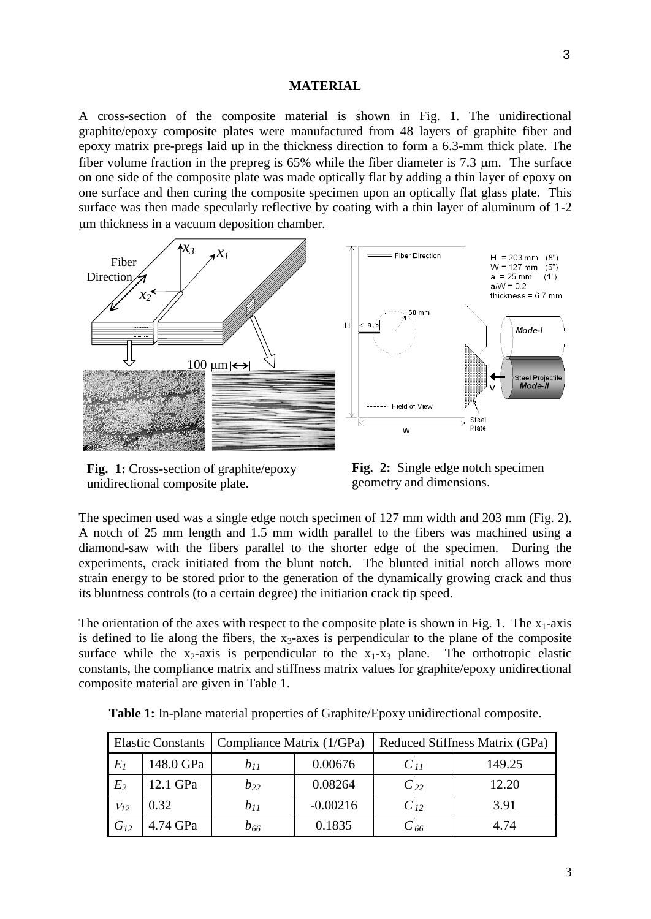#### **MATERIAL**

A cross-section of the composite material is shown in Fig. 1. The unidirectional graphite/epoxy composite plates were manufactured from 48 layers of graphite fiber and epoxy matrix pre-pregs laid up in the thickness direction to form a 6.3-mm thick plate. The fiber volume fraction in the prepreg is 65% while the fiber diameter is 7.3 µm. The surface on one side of the composite plate was made optically flat by adding a thin layer of epoxy on one surface and then curing the composite specimen upon an optically flat glass plate. This surface was then made specularly reflective by coating with a thin layer of aluminum of 1-2 µm thickness in a vacuum deposition chamber.



**Fig. 1:** Cross-section of graphite/epoxy unidirectional composite plate.



The specimen used was a single edge notch specimen of 127 mm width and 203 mm (Fig. 2). A notch of 25 mm length and 1.5 mm width parallel to the fibers was machined using a diamond-saw with the fibers parallel to the shorter edge of the specimen. During the experiments, crack initiated from the blunt notch. The blunted initial notch allows more strain energy to be stored prior to the generation of the dynamically growing crack and thus its bluntness controls (to a certain degree) the initiation crack tip speed.

The orientation of the axes with respect to the composite plate is shown in Fig. 1. The  $x_1$ -axis is defined to lie along the fibers, the  $x_3$ -axes is perpendicular to the plane of the composite surface while the  $x_2$ -axis is perpendicular to the  $x_1$ - $x_3$  plane. The orthotropic elastic constants, the compliance matrix and stiffness matrix values for graphite/epoxy unidirectional composite material are given in Table 1.

|          |           | Elastic Constants   Compliance Matrix (1/GPa) |            | Reduced Stiffness Matrix (GPa) |        |
|----------|-----------|-----------------------------------------------|------------|--------------------------------|--------|
| $E_I$    | 148.0 GPa | $b_{11}$                                      | 0.00676    | $C_{11}$                       | 149.25 |
| $E_2$    | 12.1 GPa  | $b_{22}$                                      | 0.08264    | $C_{22}$                       | 12.20  |
| $V_{12}$ | 0.32      | $b_{11}$                                      | $-0.00216$ | $C_{12}$                       | 3.91   |
| $G_{12}$ | 4.74 GPa  | b <sub>66</sub>                               | 0.1835     | C 66                           | 4.74   |

**Table 1:** In-plane material properties of Graphite/Epoxy unidirectional composite.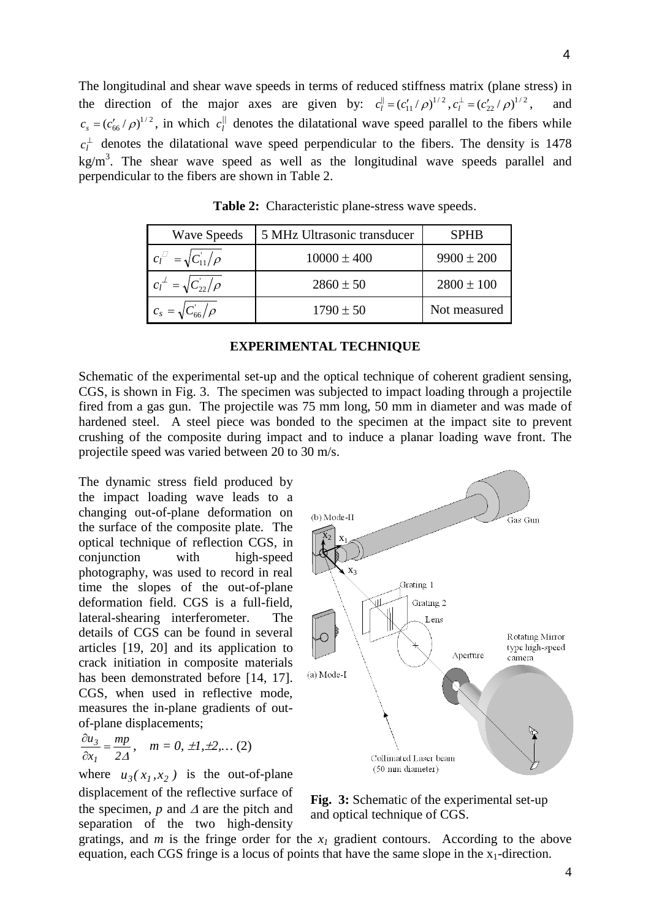The longitudinal and shear wave speeds in terms of reduced stiffness matrix (plane stress) in the direction of the major axes are given by:  $c_l^{\parallel} = (c_{11}^{\prime}/\rho)^{1/2}$ ,  $c_l^{\perp} = (c_{22}^{\prime}/\rho)^{1/2}$ , and  $c_s = (c_{66}^{\prime}/\rho)^{1/2}$ , in which  $c_l^{\prime\prime}$  denotes the dilatational wave speed parallel to the fibers while  $c_l^{\perp}$  denotes the dilatational wave speed perpendicular to the fibers. The density is 1478  $kg/m<sup>3</sup>$ . The shear wave speed as well as the longitudinal wave speeds parallel and perpendicular to the fibers are shown in Table 2.

| <b>Wave Speeds</b>                 | 5 MHz Ultrasonic transducer | <b>SPHB</b>    |
|------------------------------------|-----------------------------|----------------|
| $c_l^{\Box} = \sqrt{C_{11}}/\rho$  | $10000 \pm 400$             | $9900 \pm 200$ |
| $c_l^{\perp} = \sqrt{C_{22}}/\rho$ | $2860 \pm 50$               | $2800 \pm 100$ |
| $c_s = \sqrt{C_{66}}/\rho$         | $1790 \pm 50$               | Not measured   |

**Table 2:** Characteristic plane-stress wave speeds.

#### **EXPERIMENTAL TECHNIQUE**

Schematic of the experimental set-up and the optical technique of coherent gradient sensing, CGS, is shown in Fig. 3. The specimen was subjected to impact loading through a projectile fired from a gas gun. The projectile was 75 mm long, 50 mm in diameter and was made of hardened steel. A steel piece was bonded to the specimen at the impact site to prevent crushing of the composite during impact and to induce a planar loading wave front. The projectile speed was varied between 20 to 30 m/s.

The dynamic stress field produced by the impact loading wave leads to a changing out-of-plane deformation on the surface of the composite plate. The optical technique of reflection CGS, in conjunction with high-speed photography, was used to record in real time the slopes of the out-of-plane deformation field. CGS is a full-field, lateral-shearing interferometer. The details of CGS can be found in several articles [19, 20] and its application to crack initiation in composite materials has been demonstrated before [14, 17]. CGS, when used in reflective mode, measures the in-plane gradients of outof-plane displacements;

$$
\frac{\partial u_3}{\partial x_1} = \frac{mp}{2\Delta}, \quad m = 0, \pm 1, \pm 2, \dots (2)
$$

where  $u_3(x_1, x_2)$  is the out-of-plane displacement of the reflective surface of the specimen, *p* and <sup>∆</sup> are the pitch and separation of the two high-density



**Fig. 3:** Schematic of the experimental set-up and optical technique of CGS.

gratings, and *m* is the fringe order for the *x1* gradient contours. According to the above equation, each CGS fringe is a locus of points that have the same slope in the  $x_1$ -direction.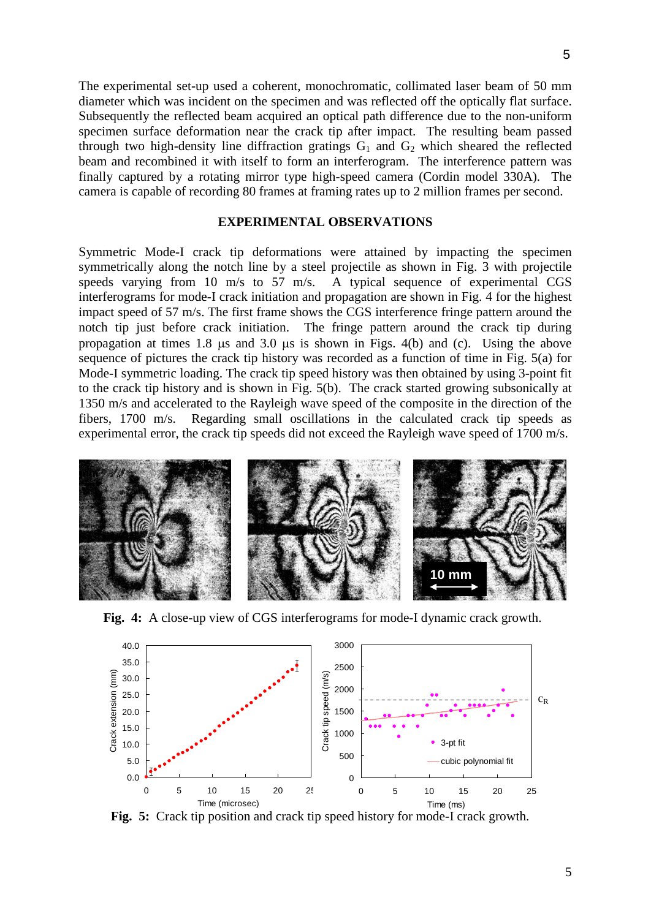The experimental set-up used a coherent, monochromatic, collimated laser beam of 50 mm diameter which was incident on the specimen and was reflected off the optically flat surface. Subsequently the reflected beam acquired an optical path difference due to the non-uniform specimen surface deformation near the crack tip after impact. The resulting beam passed through two high-density line diffraction gratings  $G_1$  and  $G_2$  which sheared the reflected beam and recombined it with itself to form an interferogram. The interference pattern was finally captured by a rotating mirror type high-speed camera (Cordin model 330A). The camera is capable of recording 80 frames at framing rates up to 2 million frames per second.

## **EXPERIMENTAL OBSERVATIONS**

Symmetric Mode-I crack tip deformations were attained by impacting the specimen symmetrically along the notch line by a steel projectile as shown in Fig. 3 with projectile speeds varying from 10 m/s to 57 m/s. A typical sequence of experimental CGS interferograms for mode-I crack initiation and propagation are shown in Fig. 4 for the highest impact speed of 57 m/s. The first frame shows the CGS interference fringe pattern around the notch tip just before crack initiation. The fringe pattern around the crack tip during propagation at times 1.8 µs and 3.0 µs is shown in Figs. 4(b) and (c). Using the above sequence of pictures the crack tip history was recorded as a function of time in Fig. 5(a) for Mode-I symmetric loading. The crack tip speed history was then obtained by using 3-point fit to the crack tip history and is shown in Fig. 5(b). The crack started growing subsonically at 1350 m/s and accelerated to the Rayleigh wave speed of the composite in the direction of the fibers, 1700 m/s. Regarding small oscillations in the calculated crack tip speeds as experimental error, the crack tip speeds did not exceed the Rayleigh wave speed of 1700 m/s.



**Fig. 4:** A close-up view of CGS interferograms for mode-I dynamic crack growth.



**Fig. 5:** Crack tip position and crack tip speed history for mode-I crack growth.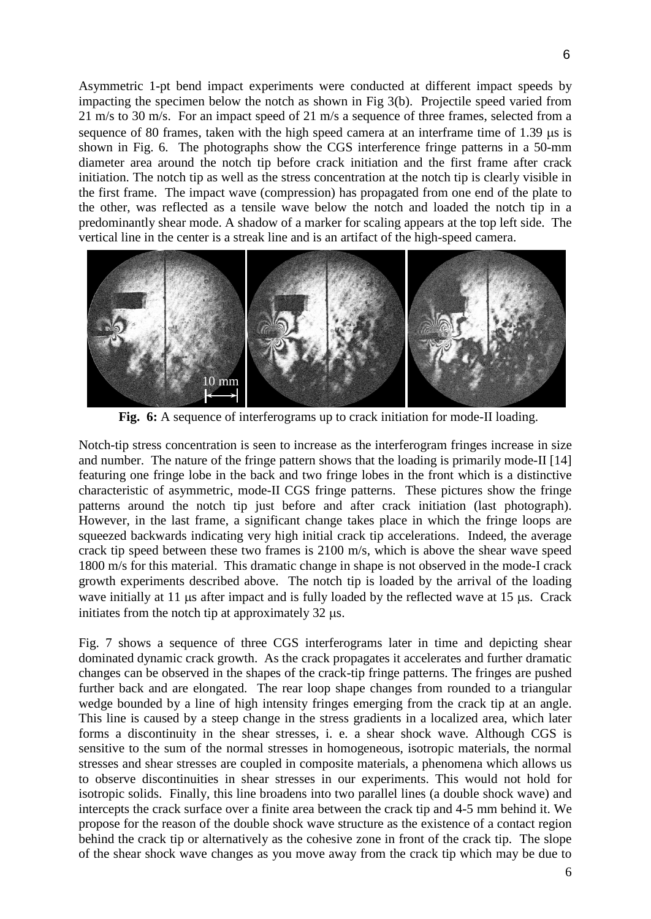Asymmetric 1-pt bend impact experiments were conducted at different impact speeds by impacting the specimen below the notch as shown in Fig 3(b). Projectile speed varied from 21 m/s to 30 m/s. For an impact speed of 21 m/s a sequence of three frames, selected from a sequence of 80 frames, taken with the high speed camera at an interframe time of  $1.39 \mu s$  is shown in Fig. 6. The photographs show the CGS interference fringe patterns in a 50-mm diameter area around the notch tip before crack initiation and the first frame after crack initiation. The notch tip as well as the stress concentration at the notch tip is clearly visible in the first frame. The impact wave (compression) has propagated from one end of the plate to the other, was reflected as a tensile wave below the notch and loaded the notch tip in a predominantly shear mode. A shadow of a marker for scaling appears at the top left side. The vertical line in the center is a streak line and is an artifact of the high-speed camera.



**Fig. 6:** A sequence of interferograms up to crack initiation for mode-II loading.

Notch-tip stress concentration is seen to increase as the interferogram fringes increase in size and number. The nature of the fringe pattern shows that the loading is primarily mode-II [14] featuring one fringe lobe in the back and two fringe lobes in the front which is a distinctive characteristic of asymmetric, mode-II CGS fringe patterns. These pictures show the fringe patterns around the notch tip just before and after crack initiation (last photograph). However, in the last frame, a significant change takes place in which the fringe loops are squeezed backwards indicating very high initial crack tip accelerations. Indeed, the average crack tip speed between these two frames is 2100 m/s, which is above the shear wave speed 1800 m/s for this material. This dramatic change in shape is not observed in the mode-I crack growth experiments described above. The notch tip is loaded by the arrival of the loading wave initially at 11 µs after impact and is fully loaded by the reflected wave at 15 µs. Crack initiates from the notch tip at approximately 32 µs.

Fig. 7 shows a sequence of three CGS interferograms later in time and depicting shear dominated dynamic crack growth. As the crack propagates it accelerates and further dramatic changes can be observed in the shapes of the crack-tip fringe patterns. The fringes are pushed further back and are elongated. The rear loop shape changes from rounded to a triangular wedge bounded by a line of high intensity fringes emerging from the crack tip at an angle. This line is caused by a steep change in the stress gradients in a localized area, which later forms a discontinuity in the shear stresses, i. e. a shear shock wave. Although CGS is sensitive to the sum of the normal stresses in homogeneous, isotropic materials, the normal stresses and shear stresses are coupled in composite materials, a phenomena which allows us to observe discontinuities in shear stresses in our experiments. This would not hold for isotropic solids. Finally, this line broadens into two parallel lines (a double shock wave) and intercepts the crack surface over a finite area between the crack tip and 4-5 mm behind it. We propose for the reason of the double shock wave structure as the existence of a contact region behind the crack tip or alternatively as the cohesive zone in front of the crack tip. The slope of the shear shock wave changes as you move away from the crack tip which may be due to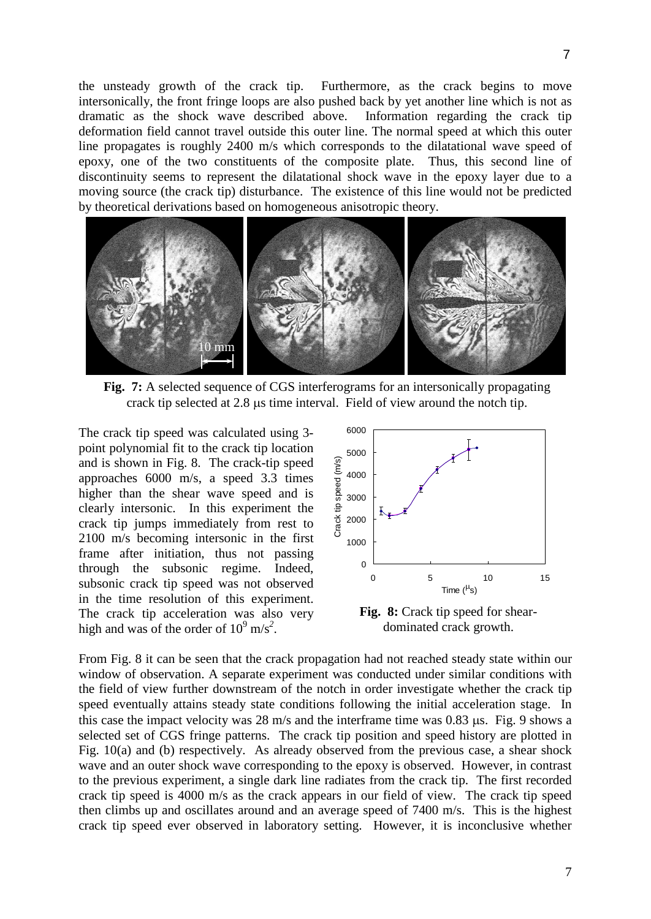the unsteady growth of the crack tip. Furthermore, as the crack begins to move intersonically, the front fringe loops are also pushed back by yet another line which is not as dramatic as the shock wave described above. Information regarding the crack tip deformation field cannot travel outside this outer line. The normal speed at which this outer line propagates is roughly 2400 m/s which corresponds to the dilatational wave speed of epoxy, one of the two constituents of the composite plate. Thus, this second line of discontinuity seems to represent the dilatational shock wave in the epoxy layer due to a moving source (the crack tip) disturbance. The existence of this line would not be predicted by theoretical derivations based on homogeneous anisotropic theory.



**Fig. 7:** A selected sequence of CGS interferograms for an intersonically propagating crack tip selected at 2.8 µs time interval. Field of view around the notch tip.

The crack tip speed was calculated using 3 point polynomial fit to the crack tip location and is shown in Fig. 8. The crack-tip speed approaches 6000 m/s, a speed 3.3 times higher than the shear wave speed and is clearly intersonic. In this experiment the crack tip jumps immediately from rest to 2100 m/s becoming intersonic in the first frame after initiation, thus not passing through the subsonic regime. Indeed, subsonic crack tip speed was not observed in the time resolution of this experiment. The crack tip acceleration was also very high and was of the order of  $10^9$  m/s<sup>2</sup>.



**Fig. 8:** Crack tip speed for sheardominated crack growth.

From Fig. 8 it can be seen that the crack propagation had not reached steady state within our window of observation. A separate experiment was conducted under similar conditions with the field of view further downstream of the notch in order investigate whether the crack tip speed eventually attains steady state conditions following the initial acceleration stage. In this case the impact velocity was 28 m/s and the interframe time was 0.83 µs. Fig. 9 shows a selected set of CGS fringe patterns. The crack tip position and speed history are plotted in Fig. 10(a) and (b) respectively. As already observed from the previous case, a shear shock wave and an outer shock wave corresponding to the epoxy is observed. However, in contrast to the previous experiment, a single dark line radiates from the crack tip. The first recorded crack tip speed is 4000 m/s as the crack appears in our field of view. The crack tip speed then climbs up and oscillates around and an average speed of 7400 m/s. This is the highest crack tip speed ever observed in laboratory setting. However, it is inconclusive whether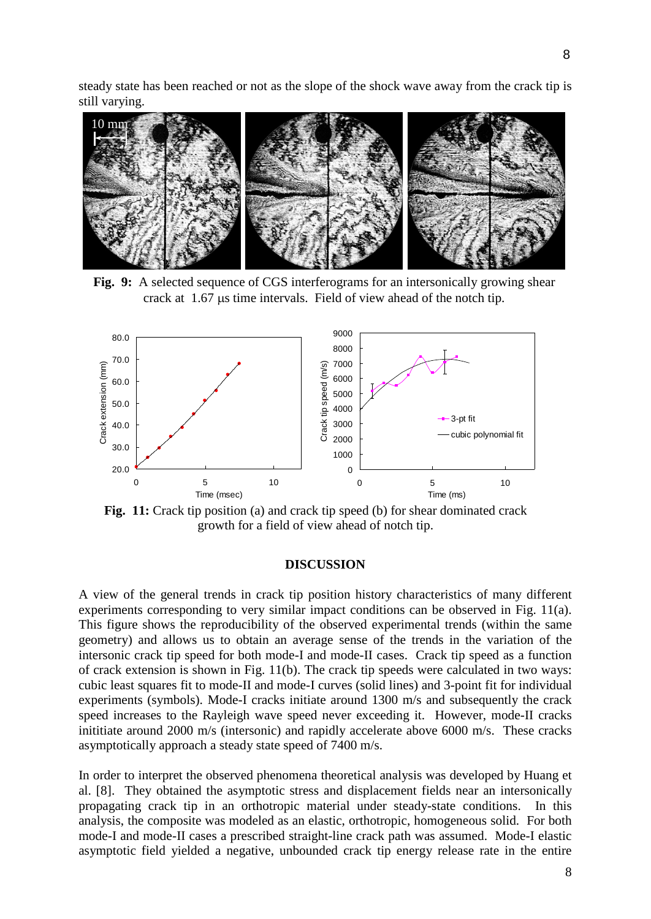steady state has been reached or not as the slope of the shock wave away from the crack tip is still varying.



**Fig. 9:** A selected sequence of CGS interferograms for an intersonically growing shear crack at 1.67 µs time intervals. Field of view ahead of the notch tip.



**Fig. 11:** Crack tip position (a) and crack tip speed (b) for shear dominated crack growth for a field of view ahead of notch tip.

#### **DISCUSSION**

A view of the general trends in crack tip position history characteristics of many different experiments corresponding to very similar impact conditions can be observed in Fig. 11(a). This figure shows the reproducibility of the observed experimental trends (within the same geometry) and allows us to obtain an average sense of the trends in the variation of the intersonic crack tip speed for both mode-I and mode-II cases. Crack tip speed as a function of crack extension is shown in Fig. 11(b). The crack tip speeds were calculated in two ways: cubic least squares fit to mode-II and mode-I curves (solid lines) and 3-point fit for individual experiments (symbols). Mode-I cracks initiate around 1300 m/s and subsequently the crack speed increases to the Rayleigh wave speed never exceeding it. However, mode-II cracks inititiate around 2000 m/s (intersonic) and rapidly accelerate above 6000 m/s. These cracks asymptotically approach a steady state speed of 7400 m/s.

In order to interpret the observed phenomena theoretical analysis was developed by Huang et al. [8]. They obtained the asymptotic stress and displacement fields near an intersonically propagating crack tip in an orthotropic material under steady-state conditions. In this analysis, the composite was modeled as an elastic, orthotropic, homogeneous solid. For both mode-I and mode-II cases a prescribed straight-line crack path was assumed. Mode-I elastic asymptotic field yielded a negative, unbounded crack tip energy release rate in the entire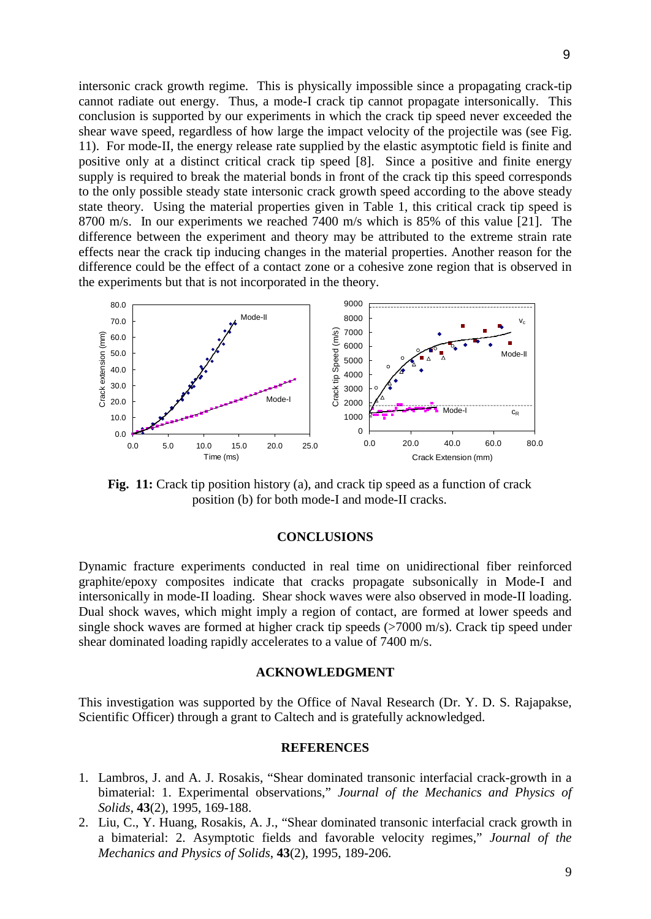intersonic crack growth regime. This is physically impossible since a propagating crack-tip cannot radiate out energy. Thus, a mode-I crack tip cannot propagate intersonically. This conclusion is supported by our experiments in which the crack tip speed never exceeded the shear wave speed, regardless of how large the impact velocity of the projectile was (see Fig. 11). For mode-II, the energy release rate supplied by the elastic asymptotic field is finite and positive only at a distinct critical crack tip speed [8]. Since a positive and finite energy supply is required to break the material bonds in front of the crack tip this speed corresponds to the only possible steady state intersonic crack growth speed according to the above steady state theory. Using the material properties given in Table 1, this critical crack tip speed is 8700 m/s. In our experiments we reached 7400 m/s which is 85% of this value [21]. The difference between the experiment and theory may be attributed to the extreme strain rate effects near the crack tip inducing changes in the material properties. Another reason for the difference could be the effect of a contact zone or a cohesive zone region that is observed in the experiments but that is not incorporated in the theory.



Fig. 11: Crack tip position history (a), and crack tip speed as a function of crack position (b) for both mode-I and mode-II cracks.

## **CONCLUSIONS**

Dynamic fracture experiments conducted in real time on unidirectional fiber reinforced graphite/epoxy composites indicate that cracks propagate subsonically in Mode-I and intersonically in mode-II loading. Shear shock waves were also observed in mode-II loading. Dual shock waves, which might imply a region of contact, are formed at lower speeds and single shock waves are formed at higher crack tip speeds (>7000 m/s). Crack tip speed under shear dominated loading rapidly accelerates to a value of 7400 m/s.

### **ACKNOWLEDGMENT**

This investigation was supported by the Office of Naval Research (Dr. Y. D. S. Rajapakse, Scientific Officer) through a grant to Caltech and is gratefully acknowledged.

## **REFERENCES**

- 1. Lambros, J. and A. J. Rosakis, "Shear dominated transonic interfacial crack-growth in a bimaterial: 1. Experimental observations," *Journal of the Mechanics and Physics of Solids*, **43**(2), 1995, 169-188.
- 2. Liu, C., Y. Huang, Rosakis, A. J., "Shear dominated transonic interfacial crack growth in a bimaterial: 2. Asymptotic fields and favorable velocity regimes," *Journal of the Mechanics and Physics of Solids*, **43**(2), 1995, 189-206.